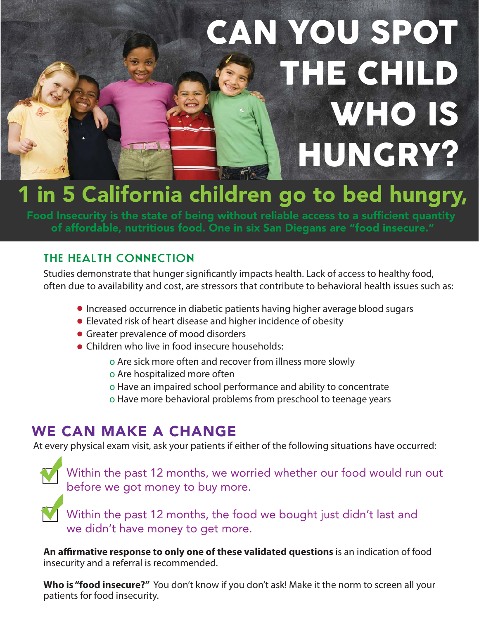# CAN YOU SPOT THE CHILD WHO IS **HUNGRY?**

## **1 in 5 California children go to bed hungry,**

**Food Insecurity is the state of being without reliable access to a sufficient quantity of affordable, nutritious food. One in six San Diegans are "food insecure."**

#### **THE HEALTH CONNECTION**

Studies demonstrate that hunger significantly impacts health. Lack of access to healthy food, often due to availability and cost, are stressors that contribute to behavioral health issues such as:

- Increased occurrence in diabetic patients having higher average blood sugars
- Elevated risk of heart disease and higher incidence of obesity
- **Greater prevalence of mood disorders**
- Children who live in food insecure households:
	- o Are sick more often and recover from illness more slowly
	- o Are hospitalized more often
	- o Have an impaired school performance and ability to concentrate
	- o Have more behavioral problems from preschool to teenage years

## **WE CAN MAKE A CHANGE**

At every physical exam visit, ask your patients if either of the following situations have occurred:

Within the past 12 months, we worried whether our food would run out before we got money to buy more.

Within the past 12 months, the food we bought just didn't last and we didn't have money to get more.

**An affirmative response to only one of these validated questions** is an indication of food insecurity and a referral is recommended.

**Who is "food insecure?"** You don't know if you don't ask! Make it the norm to screen all your patients for food insecurity.